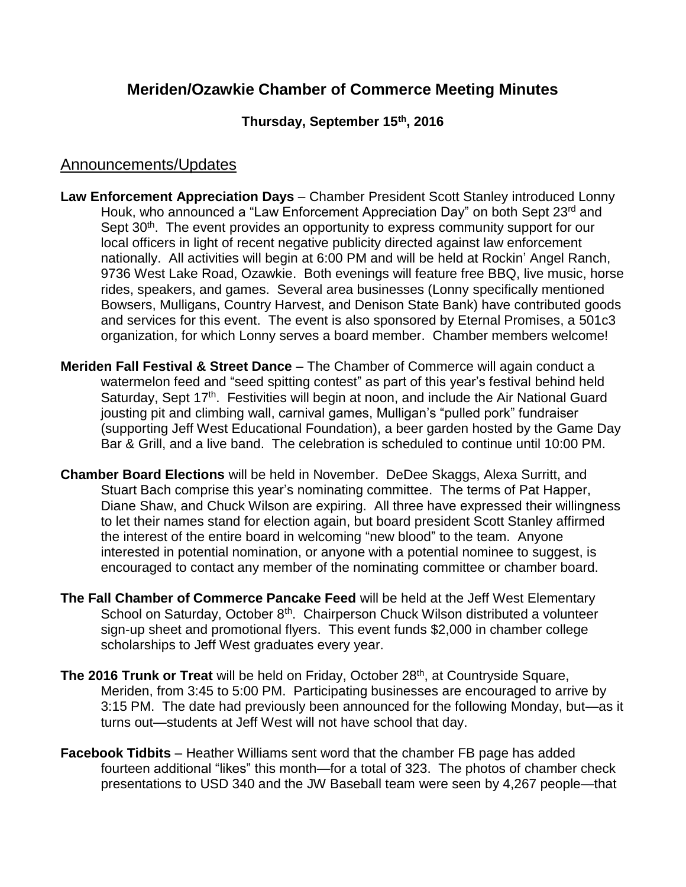# **Meriden/Ozawkie Chamber of Commerce Meeting Minutes**

### **Thursday, September 15th , 2016**

### Announcements/Updates

- **Law Enforcement Appreciation Days** Chamber President Scott Stanley introduced Lonny Houk, who announced a "Law Enforcement Appreciation Day" on both Sept 23<sup>rd</sup> and Sept 30<sup>th</sup>. The event provides an opportunity to express community support for our local officers in light of recent negative publicity directed against law enforcement nationally. All activities will begin at 6:00 PM and will be held at Rockin' Angel Ranch, 9736 West Lake Road, Ozawkie. Both evenings will feature free BBQ, live music, horse rides, speakers, and games. Several area businesses (Lonny specifically mentioned Bowsers, Mulligans, Country Harvest, and Denison State Bank) have contributed goods and services for this event. The event is also sponsored by Eternal Promises, a 501c3 organization, for which Lonny serves a board member. Chamber members welcome!
- **Meriden Fall Festival & Street Dance**  The Chamber of Commerce will again conduct a watermelon feed and "seed spitting contest" as part of this year's festival behind held Saturday, Sept 17<sup>th</sup>. Festivities will begin at noon, and include the Air National Guard jousting pit and climbing wall, carnival games, Mulligan's "pulled pork" fundraiser (supporting Jeff West Educational Foundation), a beer garden hosted by the Game Day Bar & Grill, and a live band. The celebration is scheduled to continue until 10:00 PM.
- **Chamber Board Elections** will be held in November. DeDee Skaggs, Alexa Surritt, and Stuart Bach comprise this year's nominating committee. The terms of Pat Happer, Diane Shaw, and Chuck Wilson are expiring. All three have expressed their willingness to let their names stand for election again, but board president Scott Stanley affirmed the interest of the entire board in welcoming "new blood" to the team. Anyone interested in potential nomination, or anyone with a potential nominee to suggest, is encouraged to contact any member of the nominating committee or chamber board.
- **The Fall Chamber of Commerce Pancake Feed** will be held at the Jeff West Elementary School on Saturday, October 8<sup>th</sup>. Chairperson Chuck Wilson distributed a volunteer sign-up sheet and promotional flyers. This event funds \$2,000 in chamber college scholarships to Jeff West graduates every year.
- **The 2016 Trunk or Treat** will be held on Friday, October 28<sup>th</sup>, at Countryside Square, Meriden, from 3:45 to 5:00 PM. Participating businesses are encouraged to arrive by 3:15 PM. The date had previously been announced for the following Monday, but—as it turns out—students at Jeff West will not have school that day.
- **Facebook Tidbits** Heather Williams sent word that the chamber FB page has added fourteen additional "likes" this month—for a total of 323. The photos of chamber check presentations to USD 340 and the JW Baseball team were seen by 4,267 people—that